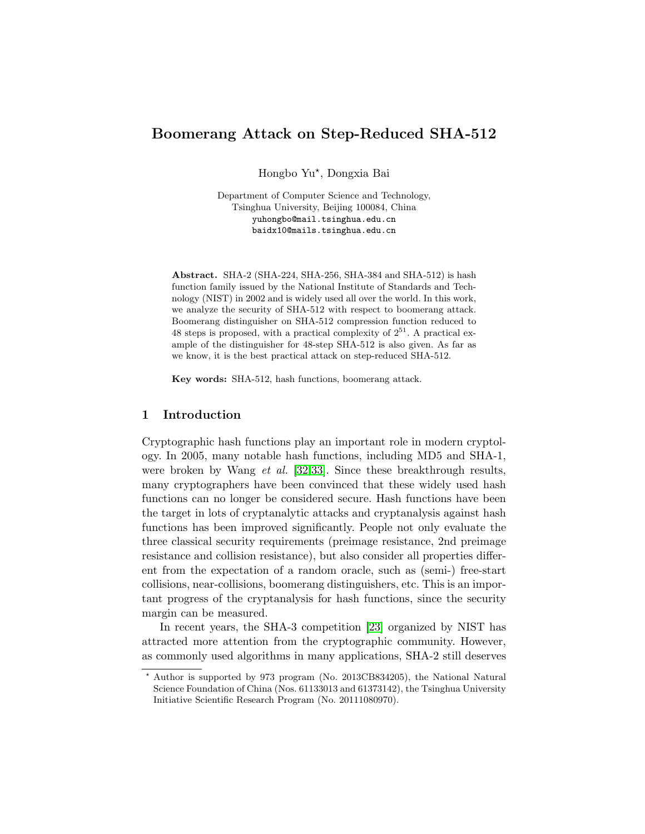# Boomerang Attack on Step-Reduced SHA-512

Hongbo Yu? , Dongxia Bai

Department of Computer Science and Technology, Tsinghua University, Beijing 100084, China yuhongbo@mail.tsinghua.edu.cn baidx10@mails.tsinghua.edu.cn

Abstract. SHA-2 (SHA-224, SHA-256, SHA-384 and SHA-512) is hash function family issued by the National Institute of Standards and Technology (NIST) in 2002 and is widely used all over the world. In this work, we analyze the security of SHA-512 with respect to boomerang attack. Boomerang distinguisher on SHA-512 compression function reduced to 48 steps is proposed, with a practical complexity of  $2^{51}$ . A practical example of the distinguisher for 48-step SHA-512 is also given. As far as we know, it is the best practical attack on step-reduced SHA-512.

Key words: SHA-512, hash functions, boomerang attack.

## 1 Introduction

Cryptographic hash functions play an important role in modern cryptology. In 2005, many notable hash functions, including MD5 and SHA-1, were broken by Wang *et al.* [\[32,](#page-12-0)[33\]](#page-12-1). Since these breakthrough results, many cryptographers have been convinced that these widely used hash functions can no longer be considered secure. Hash functions have been the target in lots of cryptanalytic attacks and cryptanalysis against hash functions has been improved significantly. People not only evaluate the three classical security requirements (preimage resistance, 2nd preimage resistance and collision resistance), but also consider all properties different from the expectation of a random oracle, such as (semi-) free-start collisions, near-collisions, boomerang distinguishers, etc. This is an important progress of the cryptanalysis for hash functions, since the security margin can be measured.

In recent years, the SHA-3 competition [\[23\]](#page-12-2) organized by NIST has attracted more attention from the cryptographic community. However, as commonly used algorithms in many applications, SHA-2 still deserves

<sup>?</sup> Author is supported by 973 program (No. 2013CB834205), the National Natural Science Foundation of China (Nos. 61133013 and 61373142), the Tsinghua University Initiative Scientific Research Program (No. 20111080970).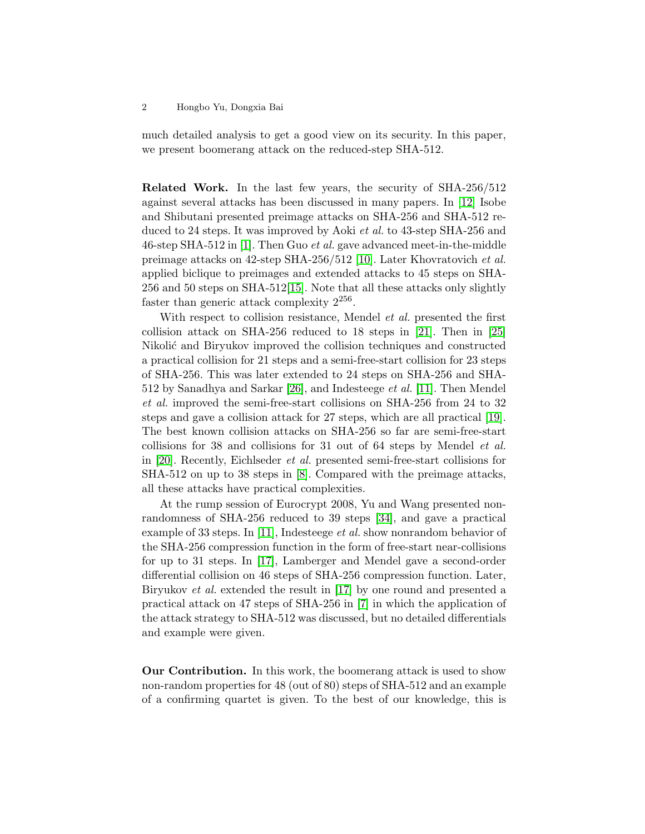much detailed analysis to get a good view on its security. In this paper, we present boomerang attack on the reduced-step SHA-512.

Related Work. In the last few years, the security of SHA-256/512 against several attacks has been discussed in many papers. In [\[12\]](#page-11-0) Isobe and Shibutani presented preimage attacks on SHA-256 and SHA-512 reduced to 24 steps. It was improved by Aoki et al. to 43-step SHA-256 and 46-step SHA-512 in [\[1\]](#page-11-1). Then Guo et al. gave advanced meet-in-the-middle preimage attacks on 42-step SHA-256/512 [\[10\]](#page-11-2). Later Khovratovich et al. applied biclique to preimages and extended attacks to 45 steps on SHA-256 and 50 steps on SHA-512[\[15\]](#page-11-3). Note that all these attacks only slightly faster than generic attack complexity  $2^{256}$ .

With respect to collision resistance, Mendel *et al.* presented the first collision attack on SHA-256 reduced to 18 steps in [\[21\]](#page-12-3). Then in [\[25\]](#page-12-4) Nikolić and Biryukov improved the collision techniques and constructed a practical collision for 21 steps and a semi-free-start collision for 23 steps of SHA-256. This was later extended to 24 steps on SHA-256 and SHA-512 by Sanadhya and Sarkar [\[26\]](#page-12-5), and Indesteege et al. [\[11\]](#page-11-4). Then Mendel et al. improved the semi-free-start collisions on SHA-256 from 24 to 32 steps and gave a collision attack for 27 steps, which are all practical [\[19\]](#page-11-5). The best known collision attacks on SHA-256 so far are semi-free-start collisions for 38 and collisions for 31 out of 64 steps by Mendel et al. in [\[20\]](#page-12-6). Recently, Eichlseder et al. presented semi-free-start collisions for SHA-512 on up to 38 steps in [\[8\]](#page-11-6). Compared with the preimage attacks, all these attacks have practical complexities.

At the rump session of Eurocrypt 2008, Yu and Wang presented nonrandomness of SHA-256 reduced to 39 steps [\[34\]](#page-12-7), and gave a practical example of 33 steps. In [\[11\]](#page-11-4), Indesteege *et al.* show nonrandom behavior of the SHA-256 compression function in the form of free-start near-collisions for up to 31 steps. In [\[17\]](#page-11-7), Lamberger and Mendel gave a second-order differential collision on 46 steps of SHA-256 compression function. Later, Biryukov et al. extended the result in [\[17\]](#page-11-7) by one round and presented a practical attack on 47 steps of SHA-256 in [\[7\]](#page-11-8) in which the application of the attack strategy to SHA-512 was discussed, but no detailed differentials and example were given.

Our Contribution. In this work, the boomerang attack is used to show non-random properties for 48 (out of 80) steps of SHA-512 and an example of a confirming quartet is given. To the best of our knowledge, this is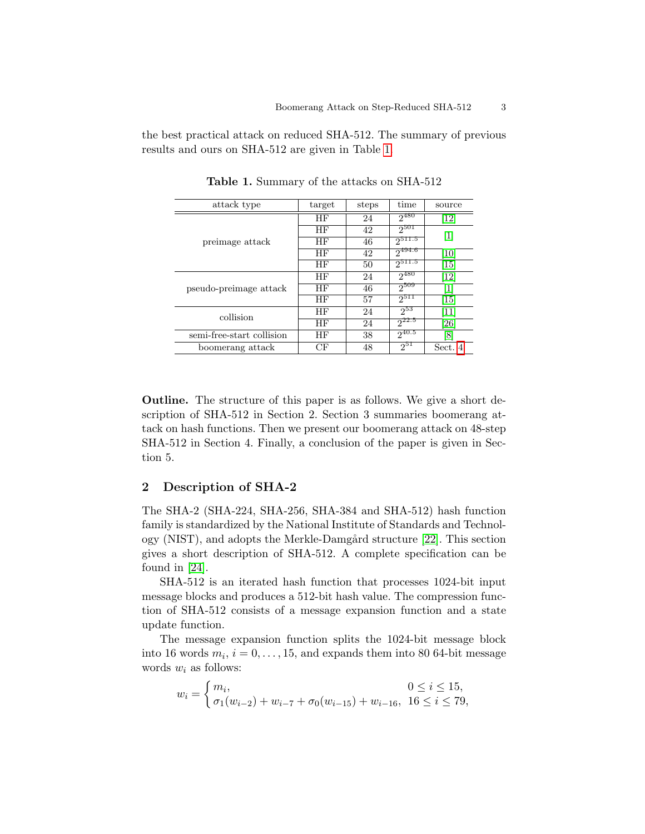the best practical attack on reduced SHA-512. The summary of previous results and ours on SHA-512 are given in Table [1.](#page-2-0)

| attack type               | target | steps | time        | source                       |  |
|---------------------------|--------|-------|-------------|------------------------------|--|
|                           | ΗF     | 24    | $2^{480}$   | $\left\lceil 12\right\rceil$ |  |
|                           | ΗF     | 42    | $2^{501}$   | $\vert 1 \vert$              |  |
| preimage attack           | ΗF     | 46    | $2^{511.5}$ |                              |  |
|                           | ΗF     | 42    | $2^{494.6}$ | [10]                         |  |
|                           | ΗF     | 50    | $2^{511.5}$ | [15]                         |  |
|                           | ΗF     | 24    | $2^{480}$   | $\left\lceil 12\right\rceil$ |  |
| pseudo-preimage attack    | ΗF     | 46    | $2^{509}$   | $\vert 1 \vert$              |  |
|                           | ΗF     | 57    | $2^{511}$   | [15]                         |  |
| collision                 | ΗF     | 24    | $2^{53}$    | 11                           |  |
|                           | ΗF     | 24    | $2^{22.5}$  | [26]                         |  |
| semi-free-start collision | ΗF     | 38    | $2^{40.5}$  | 81                           |  |
| boomerang attack          | CF     | 48    | $2^{51}$    | Sect. 4                      |  |

<span id="page-2-0"></span>Table 1. Summary of the attacks on SHA-512

Outline. The structure of this paper is as follows. We give a short description of SHA-512 in Section 2. Section 3 summaries boomerang attack on hash functions. Then we present our boomerang attack on 48-step SHA-512 in Section 4. Finally, a conclusion of the paper is given in Section 5.

## 2 Description of SHA-2

The SHA-2 (SHA-224, SHA-256, SHA-384 and SHA-512) hash function family is standardized by the National Institute of Standards and Technol-ogy (NIST), and adopts the Merkle-Damgård structure [\[22\]](#page-12-8). This section gives a short description of SHA-512. A complete specification can be found in [\[24\]](#page-12-9).

SHA-512 is an iterated hash function that processes 1024-bit input message blocks and produces a 512-bit hash value. The compression function of SHA-512 consists of a message expansion function and a state update function.

The message expansion function splits the 1024-bit message block into 16 words  $m_i$ ,  $i = 0, \ldots, 15$ , and expands them into 80 64-bit message words  $w_i$  as follows:

$$
w_i = \begin{cases} m_i, & 0 \le i \le 15, \\ \sigma_1(w_{i-2}) + w_{i-7} + \sigma_0(w_{i-15}) + w_{i-16}, & 16 \le i \le 79, \end{cases}
$$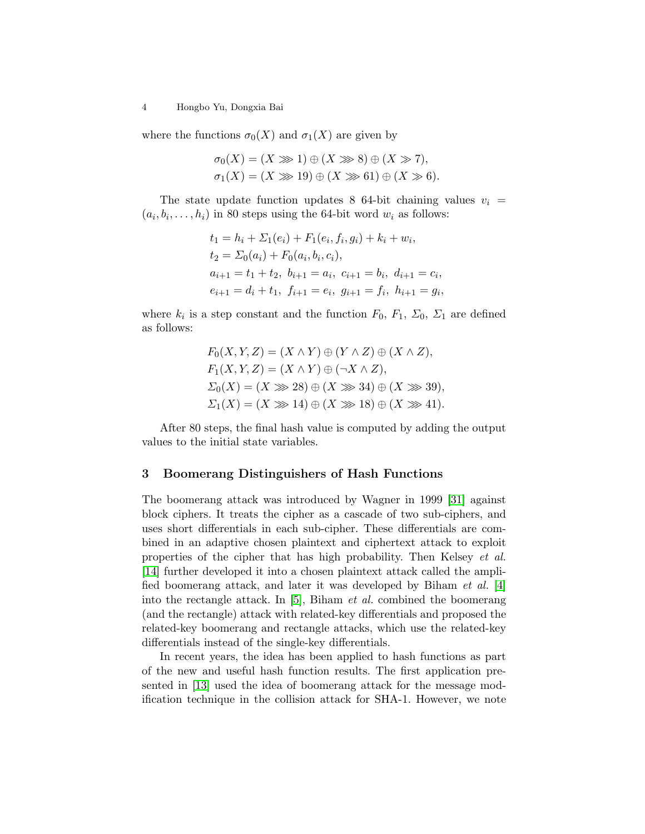where the functions  $\sigma_0(X)$  and  $\sigma_1(X)$  are given by

$$
\sigma_0(X) = (X \gg 1) \oplus (X \gg 8) \oplus (X \gg 7),
$$
  

$$
\sigma_1(X) = (X \gg 19) \oplus (X \gg 61) \oplus (X \gg 6).
$$

The state update function updates 8 64-bit chaining values  $v_i$  =  $(a_i, b_i, \ldots, h_i)$  in 80 steps using the 64-bit word  $w_i$  as follows:

$$
t_1 = h_i + \Sigma_1(e_i) + F_1(e_i, f_i, g_i) + k_i + w_i,
$$
  
\n
$$
t_2 = \Sigma_0(a_i) + F_0(a_i, b_i, c_i),
$$
  
\n
$$
a_{i+1} = t_1 + t_2, b_{i+1} = a_i, c_{i+1} = b_i, d_{i+1} = c_i,
$$
  
\n
$$
e_{i+1} = d_i + t_1, f_{i+1} = e_i, g_{i+1} = f_i, h_{i+1} = g_i,
$$

where  $k_i$  is a step constant and the function  $F_0, F_1, \Sigma_0, \Sigma_1$  are defined as follows:

$$
F_0(X, Y, Z) = (X \wedge Y) \oplus (Y \wedge Z) \oplus (X \wedge Z),
$$
  
\n
$$
F_1(X, Y, Z) = (X \wedge Y) \oplus (\neg X \wedge Z),
$$
  
\n
$$
\Sigma_0(X) = (X \gg 28) \oplus (X \gg 34) \oplus (X \gg 39),
$$
  
\n
$$
\Sigma_1(X) = (X \gg 14) \oplus (X \gg 18) \oplus (X \gg 41).
$$

After 80 steps, the final hash value is computed by adding the output values to the initial state variables.

### 3 Boomerang Distinguishers of Hash Functions

The boomerang attack was introduced by Wagner in 1999 [\[31\]](#page-12-10) against block ciphers. It treats the cipher as a cascade of two sub-ciphers, and uses short differentials in each sub-cipher. These differentials are combined in an adaptive chosen plaintext and ciphertext attack to exploit properties of the cipher that has high probability. Then Kelsey et al. [\[14\]](#page-11-9) further developed it into a chosen plaintext attack called the amplified boomerang attack, and later it was developed by Biham et al. [\[4\]](#page-11-10) into the rectangle attack. In [\[5\]](#page-11-11), Biham *et al.* combined the boomerang (and the rectangle) attack with related-key differentials and proposed the related-key boomerang and rectangle attacks, which use the related-key differentials instead of the single-key differentials.

In recent years, the idea has been applied to hash functions as part of the new and useful hash function results. The first application presented in [\[13\]](#page-11-12) used the idea of boomerang attack for the message modification technique in the collision attack for SHA-1. However, we note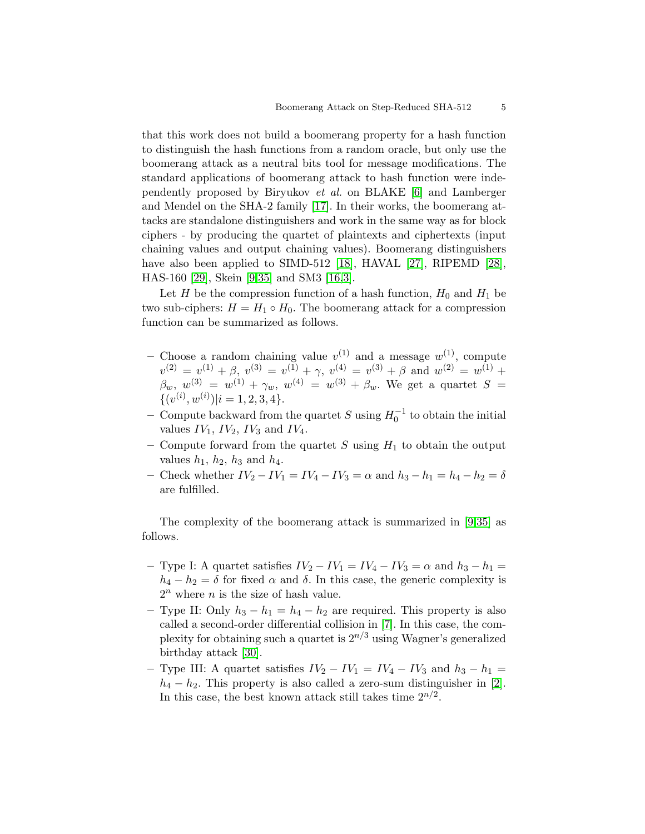that this work does not build a boomerang property for a hash function to distinguish the hash functions from a random oracle, but only use the boomerang attack as a neutral bits tool for message modifications. The standard applications of boomerang attack to hash function were independently proposed by Biryukov et al. on BLAKE [\[6\]](#page-11-13) and Lamberger and Mendel on the SHA-2 family [\[17\]](#page-11-7). In their works, the boomerang attacks are standalone distinguishers and work in the same way as for block ciphers - by producing the quartet of plaintexts and ciphertexts (input chaining values and output chaining values). Boomerang distinguishers have also been applied to SIMD-512 [\[18\]](#page-11-14), HAVAL [\[27\]](#page-12-11), RIPEMD [\[28\]](#page-12-12), HAS-160 [\[29\]](#page-12-13), Skein [\[9,](#page-11-15)[35\]](#page-12-14) and SM3 [\[16,](#page-11-16)[3\]](#page-11-17).

Let H be the compression function of a hash function,  $H_0$  and  $H_1$  be two sub-ciphers:  $H = H_1 \circ H_0$ . The boomerang attack for a compression function can be summarized as follows.

- Choose a random chaining value  $v^{(1)}$  and a message  $w^{(1)}$ , compute  $v^{(2)} = v^{(1)} + \beta$ ,  $v^{(3)} = v^{(1)} + \gamma$ ,  $v^{(4)} = v^{(3)} + \beta$  and  $w^{(2)} = w^{(1)} + \gamma$  $\beta_w, w^{(3)} = w^{(1)} + \gamma_w, w^{(4)} = w^{(3)} + \beta_w$ . We get a quartet  $S =$  $\{(v^{(i)}, w^{(i)})|i=1, 2, 3, 4\}.$
- − Compute backward from the quartet S using  $H_0^{-1}$  to obtain the initial values  $IV_1$ ,  $IV_2$ ,  $IV_3$  and  $IV_4$ .
- Compute forward from the quartet  $S$  using  $H_1$  to obtain the output values  $h_1$ ,  $h_2$ ,  $h_3$  and  $h_4$ .
- Check whether  $IV_2 IV_1 = IV_4 IV_3 = α$  and  $h_3 h_1 = h_4 h_2 = δ$ are fulfilled.

The complexity of the boomerang attack is summarized in [\[9,](#page-11-15)[35\]](#page-12-14) as follows.

- Type I: A quartet satisfies  $IV_2 IV_1 = IV_4 IV_3 = \alpha$  and  $h_3 h_1 =$  $h_4 - h_2 = \delta$  for fixed  $\alpha$  and  $\delta$ . In this case, the generic complexity is  $2^n$  where *n* is the size of hash value.
- Type II: Only  $h_3 h_1 = h_4 h_2$  are required. This property is also called a second-order differential collision in [\[7\]](#page-11-8). In this case, the complexity for obtaining such a quartet is  $2^{n/3}$  using Wagner's generalized birthday attack [\[30\]](#page-12-15).
- Type III: A quartet satisfies  $IV_2 IV_1 = IV_4 IV_3$  and  $h_3 h_1 =$  $h_4 - h_2$ . This property is also called a zero-sum distinguisher in [\[2\]](#page-11-18). In this case, the best known attack still takes time  $2^{n/2}$ .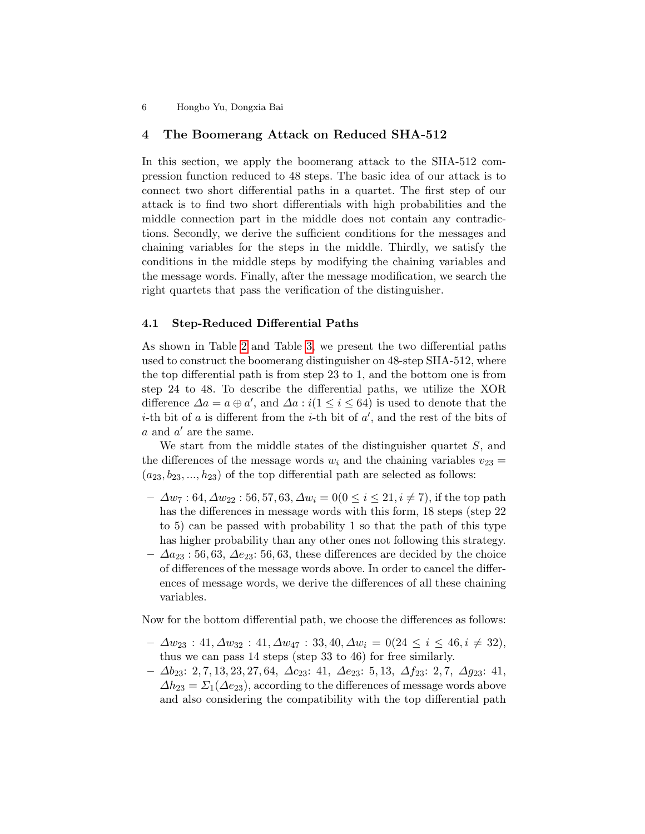## <span id="page-5-0"></span>4 The Boomerang Attack on Reduced SHA-512

In this section, we apply the boomerang attack to the SHA-512 compression function reduced to 48 steps. The basic idea of our attack is to connect two short differential paths in a quartet. The first step of our attack is to find two short differentials with high probabilities and the middle connection part in the middle does not contain any contradictions. Secondly, we derive the sufficient conditions for the messages and chaining variables for the steps in the middle. Thirdly, we satisfy the conditions in the middle steps by modifying the chaining variables and the message words. Finally, after the message modification, we search the right quartets that pass the verification of the distinguisher.

## 4.1 Step-Reduced Differential Paths

As shown in Table [2](#page-6-0) and Table [3,](#page-6-1) we present the two differential paths used to construct the boomerang distinguisher on 48-step SHA-512, where the top differential path is from step 23 to 1, and the bottom one is from step 24 to 48. To describe the differential paths, we utilize the XOR difference  $\Delta a = a \oplus a'$ , and  $\Delta a : i(1 \leq i \leq 64)$  is used to denote that the *i*-th bit of a is different from the *i*-th bit of  $a'$ , and the rest of the bits of  $a$  and  $a'$  are the same.

We start from the middle states of the distinguisher quartet S, and the differences of the message words  $w_i$  and the chaining variables  $v_{23} =$  $(a_{23}, b_{23}, ..., h_{23})$  of the top differential path are selected as follows:

- $\Delta w_7 : 64, \Delta w_{22} : 56, 57, 63, \Delta w_i = 0 (0 \le i \le 21, i \ne 7)$ , if the top path has the differences in message words with this form, 18 steps (step 22) to 5) can be passed with probability 1 so that the path of this type has higher probability than any other ones not following this strategy.
- $-\Delta a_{23}$ : 56, 63,  $\Delta e_{23}$ : 56, 63, these differences are decided by the choice of differences of the message words above. In order to cancel the differences of message words, we derive the differences of all these chaining variables.

Now for the bottom differential path, we choose the differences as follows:

- $-\Delta w_{23} : 41, \Delta w_{32} : 41, \Delta w_{47} : 33, 40, \Delta w_i = 0(24 \leq i \leq 46, i \neq 32),$ thus we can pass 14 steps (step 33 to 46) for free similarly.
- ∆b23: 2, 7, 13, 23, 27, 64, ∆c23: 41, ∆e23: 5, 13, ∆f23: 2, 7, ∆g23: 41,  $\Delta h_{23} = \Sigma_1(\Delta e_{23})$ , according to the differences of message words above and also considering the compatibility with the top differential path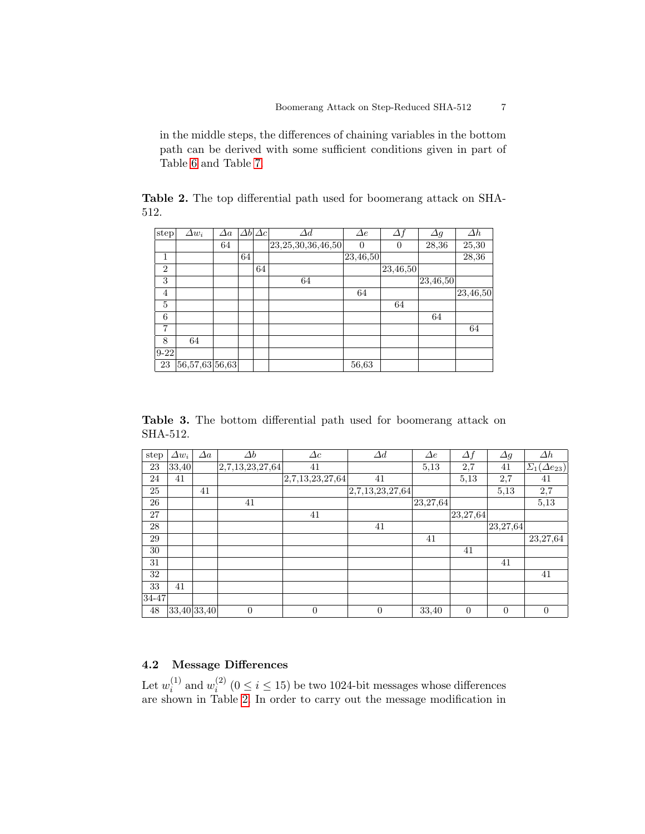in the middle steps, the differences of chaining variables in the bottom path can be derived with some sufficient conditions given in part of Table [6](#page-13-0) and Table [7.](#page-14-0)

<span id="page-6-0"></span>Table 2. The top differential path used for boomerang attack on SHA-512.

| step <sup>1</sup> | $\Delta w_i$                              | $\Delta a$ |    | $\Delta b \Delta c $ | $\varDelta d$          | $\Delta e$     | $\Delta f$ | $\varDelta g$ | $\Delta h$ |
|-------------------|-------------------------------------------|------------|----|----------------------|------------------------|----------------|------------|---------------|------------|
|                   |                                           | 64         |    |                      | 23, 25, 30, 36, 46, 50 | $\overline{0}$ | $\theta$   | 28,36         | 25,30      |
| 1                 |                                           |            | 64 |                      |                        | 23,46,50       |            |               | 28,36      |
| $\overline{2}$    |                                           |            |    | 64                   |                        |                | 23,46,50   |               |            |
| 3                 |                                           |            |    |                      | 64                     |                |            | 23,46,50      |            |
| 4                 |                                           |            |    |                      |                        | 64             |            |               | 23,46,50   |
| 5                 |                                           |            |    |                      |                        |                | 64         |               |            |
| 6                 |                                           |            |    |                      |                        |                |            | 64            |            |
| 7                 |                                           |            |    |                      |                        |                |            |               | 64         |
| 8                 | 64                                        |            |    |                      |                        |                |            |               |            |
| $9-22$            |                                           |            |    |                      |                        |                |            |               |            |
| 23                | $\left 56,\!57,\!63\right 56,\!63\right $ |            |    |                      |                        | 56,63          |            |               |            |

<span id="page-6-1"></span>Table 3. The bottom differential path used for boomerang attack on SHA-512.

| step  | $\Delta w_i$ | $\Delta a$ | $\Delta b$      | $\Delta c$      | $\Delta d$      | $\Delta e$ | $\Delta f$ | $\Delta g$ | $\Delta h$                |
|-------|--------------|------------|-----------------|-----------------|-----------------|------------|------------|------------|---------------------------|
| 23    | 33,40        |            | 2,7,13,23,27,64 | 41              |                 | 5,13       | 2,7        | 41         | $\Sigma_1(\Delta e_{23})$ |
| 24    | 41           |            |                 | 2,7,13,23,27,64 | 41              |            | 5.13       | 2,7        | 41                        |
| 25    |              | 41         |                 |                 | 2,7,13,23,27,64 |            |            | 5,13       | 2,7                       |
| 26    |              |            | 41              |                 |                 | 23, 27, 64 |            |            | 5,13                      |
| 27    |              |            |                 | 41              |                 |            | 23,27,64   |            |                           |
| 28    |              |            |                 |                 | 41              |            |            | 23,27,64   |                           |
| 29    |              |            |                 |                 |                 | 41         |            |            | 23,27,64                  |
| 30    |              |            |                 |                 |                 |            | 41         |            |                           |
| 31    |              |            |                 |                 |                 |            |            | 41         |                           |
| 32    |              |            |                 |                 |                 |            |            |            | 41                        |
| 33    | 41           |            |                 |                 |                 |            |            |            |                           |
| 34-47 |              |            |                 |                 |                 |            |            |            |                           |
| 48    | 33,40 33,40  |            | $\overline{0}$  | $\theta$        | $\overline{0}$  | 33,40      | $\theta$   | $\theta$   | 0                         |

# 4.2 Message Differences

Let  $w_i^{(1)}$  $i^{(1)}$  and  $w_i^{(2)}$  $i^{(2)}$  ( $0 \le i \le 15$ ) be two 1024-bit messages whose differences are shown in Table [2.](#page-6-0) In order to carry out the message modification in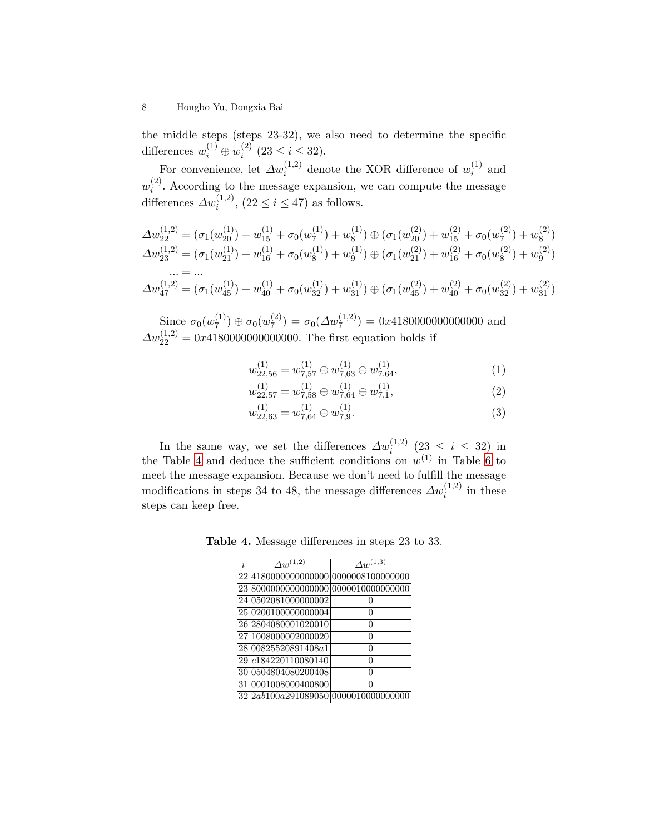the middle steps (steps 23-32), we also need to determine the specific differences  $w_i^{(1)} \oplus w_i^{(2)}$  $i^{(2)}$   $(23 \leq i \leq 32).$ 

For convenience, let  $\varDelta w_i^{(1,2)}$  denote the XOR difference of  $w_i^{(1)}$  $i^{\scriptscriptstyle(1)}$  and  $w_i^{(2)}$  $i<sup>(2)</sup>$ . According to the message expansion, we can compute the message differences  $\Delta w_i^{(1,2)}$ ,  $(22 \le i \le 47)$  as follows.

$$
\Delta w_{22}^{(1,2)} = (\sigma_1(w_{20}^{(1)}) + w_{15}^{(1)} + \sigma_0(w_7^{(1)}) + w_8^{(1)}) \oplus (\sigma_1(w_{20}^{(2)}) + w_{15}^{(2)} + \sigma_0(w_7^{(2)}) + w_8^{(2)})
$$
  
\n
$$
\Delta w_{23}^{(1,2)} = (\sigma_1(w_{21}^{(1)}) + w_{16}^{(1)} + \sigma_0(w_8^{(1)}) + w_9^{(1)}) \oplus (\sigma_1(w_{21}^{(2)}) + w_{16}^{(2)} + \sigma_0(w_8^{(2)}) + w_9^{(2)})
$$
  
\n... = ...  
\n
$$
\Delta w_{47}^{(1,2)} = (\sigma_1(w_{45}^{(1)}) + w_{40}^{(1)} + \sigma_0(w_{32}^{(1)}) + w_{31}^{(1)}) \oplus (\sigma_1(w_{45}^{(2)}) + w_{40}^{(2)} + \sigma_0(w_{32}^{(2)}) + w_{31}^{(2)})
$$

Since  $\sigma_0(w_7^{(1)})$  $\sigma_7^{(1)})\oplus\sigma_0(w_7^{(2)})$  $\sigma_7^{(2)} = \sigma_0(\Delta w_7^{(1,2)}) = 0x418000000000000$  and  $\Delta w_{22}^{(1,2)} = 0x4180000000000000$ . The first equation holds if

$$
w_{22,56}^{(1)} = w_{7,57}^{(1)} \oplus w_{7,63}^{(1)} \oplus w_{7,64}^{(1)},\tag{1}
$$

$$
w_{22,57}^{(1)} = w_{7,58}^{(1)} \oplus w_{7,64}^{(1)} \oplus w_{7,1}^{(1)},
$$
\n(2)

$$
w_{22,63}^{(1)} = w_{7,64}^{(1)} \oplus w_{7,9}^{(1)}.\tag{3}
$$

In the same way, we set the differences  $\Delta w_i^{(1,2)}$  (23 ≤ i ≤ 32) in the Table [4](#page-7-0) and deduce the sufficient conditions on  $w^{(1)}$  in Table [6](#page-13-0) to meet the message expansion. Because we don't need to fulfill the message modifications in steps 34 to 48, the message differences  $\Delta w_i^{(1,2)}$  in these steps can keep free.

Table 4. Message differences in steps 23 to 33.

<span id="page-7-0"></span>

| i. | $\varDelta w^{(\overline{1,2})}$      | $\varDelta w^{(1,3)}$ |
|----|---------------------------------------|-----------------------|
|    | 22 4180000000000000 00000008100000000 |                       |
|    | 23 8000000000000000 0000010000000000  |                       |
|    | 24 0502081000000002                   |                       |
|    | 25 0200100000000004                   | ∩                     |
|    | 26 2804080001020010                   | 0                     |
|    | 27 1008000002000020                   | 0                     |
|    | 28 008 255 2089 1408 a 1              | O                     |
|    | 29 c184220110080140                   | $\mathbf{\Omega}$     |
|    | 30 0504804080200408                   |                       |
|    | 31 0001008000400800                   | O                     |
|    | 32 2ab100a291089050 00000100000000000 |                       |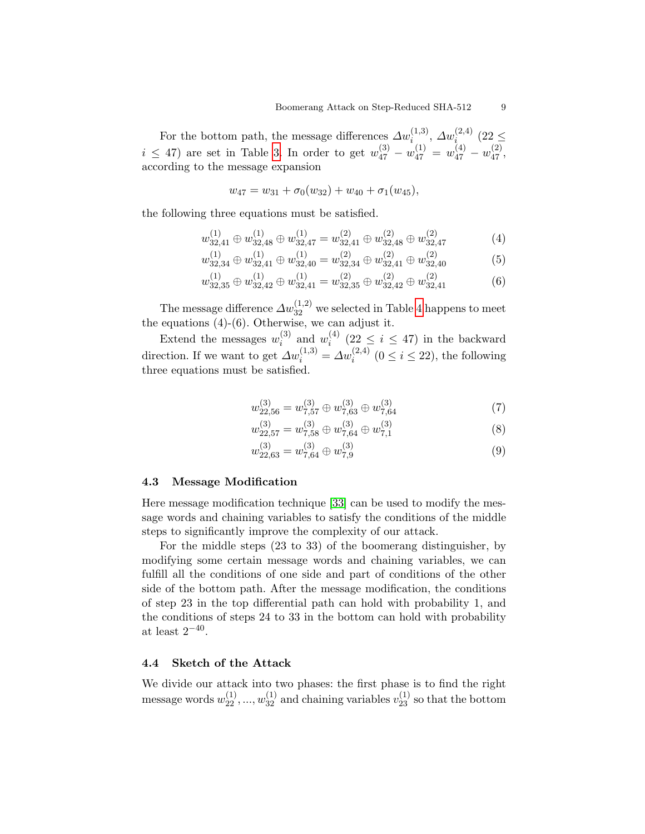For the bottom path, the message differences  $\Delta w_i^{(1,3)}$ ,  $\Delta w_i^{(2,4)}$  (22  $\leq$  $i \leq 47$ ) are set in Table [3.](#page-6-1) In order to get  $w_{47}^{(3)} - w_{47}^{(1)} = w_{47}^{(4)} - w_{47}^{(2)}$ , according to the message expansion

$$
w_{47} = w_{31} + \sigma_0(w_{32}) + w_{40} + \sigma_1(w_{45}),
$$

the following three equations must be satisfied.

$$
w_{32,41}^{(1)} \oplus w_{32,48}^{(1)} \oplus w_{32,47}^{(1)} = w_{32,41}^{(2)} \oplus w_{32,48}^{(2)} \oplus w_{32,47}^{(2)} \tag{4}
$$

$$
w_{32,34}^{(1)} \oplus w_{32,41}^{(1)} \oplus w_{32,40}^{(1)} = w_{32,34}^{(2)} \oplus w_{32,41}^{(2)} \oplus w_{32,40}^{(2)} \tag{5}
$$

$$
w_{32,35}^{(1)} \oplus w_{32,42}^{(1)} \oplus w_{32,41}^{(1)} = w_{32,35}^{(2)} \oplus w_{32,42}^{(2)} \oplus w_{32,41}^{(2)} \tag{6}
$$

The message difference  $\varDelta w_{32}^{(1,2)}$  we selected in Table [4](#page-7-0) happens to meet the equations (4)-(6). Otherwise, we can adjust it.

Extend the messages  $w_i^{(3)}$  $i^{(3)}$  and  $w_i^{(4)}$  $i^{(4)}$  (22  $\leq i \leq 47$ ) in the backward direction. If we want to get  $\Delta w_i^{(1,3)} = \Delta w_i^{(2,4)}$   $(0 \le i \le 22)$ , the following three equations must be satisfied.

$$
w_{22,56}^{(3)} = w_{7,57}^{(3)} \oplus w_{7,63}^{(3)} \oplus w_{7,64}^{(3)}
$$
 (7)

$$
w_{22,57}^{(3)} = w_{7,58}^{(3)} \oplus w_{7,64}^{(3)} \oplus w_{7,1}^{(3)}
$$
(8)

$$
w_{22,63}^{(3)} = w_{7,64}^{(3)} \oplus w_{7,9}^{(3)}
$$
(9)

## 4.3 Message Modification

Here message modification technique [\[33\]](#page-12-1) can be used to modify the message words and chaining variables to satisfy the conditions of the middle steps to significantly improve the complexity of our attack.

For the middle steps (23 to 33) of the boomerang distinguisher, by modifying some certain message words and chaining variables, we can fulfill all the conditions of one side and part of conditions of the other side of the bottom path. After the message modification, the conditions of step 23 in the top differential path can hold with probability 1, and the conditions of steps 24 to 33 in the bottom can hold with probability at least  $2^{-40}$ .

### 4.4 Sketch of the Attack

We divide our attack into two phases: the first phase is to find the right message words  $w_{22}^{(1)}, ..., w_{32}^{(1)}$  and chaining variables  $v_{23}^{(1)}$  so that the bottom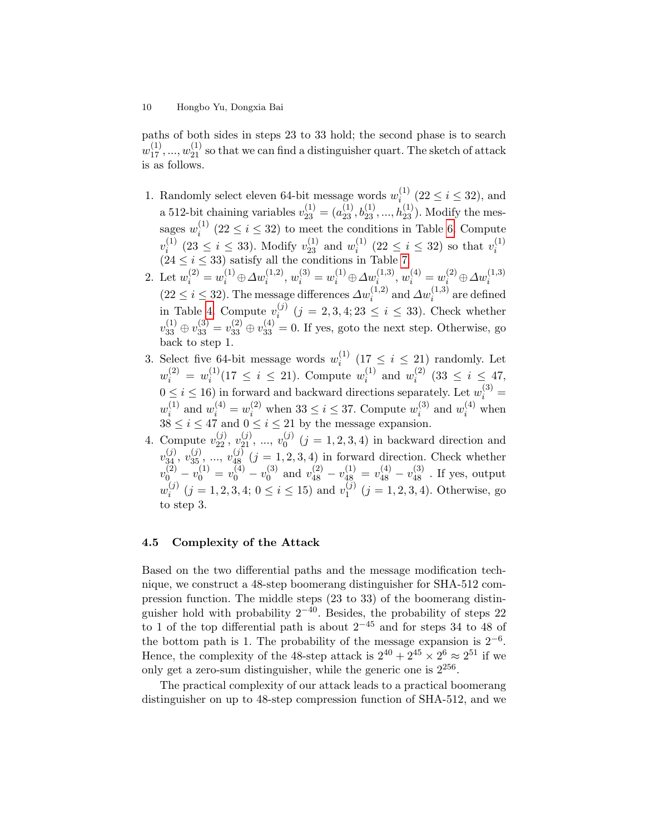paths of both sides in steps 23 to 33 hold; the second phase is to search  $w_{17}^{(1)},...,w_{21}^{(1)}$  so that we can find a distinguisher quart. The sketch of attack is as follows.

- 1. Randomly select eleven 64-bit message words  $w_i^{(1)}$  $i_{i}^{(1)}$  (22  $\leq i \leq 32$ ), and a 512-bit chaining variables  $v_{23}^{(1)} = (a_{23}^{(1)}, b_{23}^{(1)}, ..., b_{23}^{(1)})$ . Modify the messages  $w_i^{(1)}$  (22  $\leq i \leq 32$ ) to meet the conditions in Table [6.](#page-13-0) Compute i  $v_i^{(1)}$  $i^{(1)}$  (23  $\leq i \leq 33$ ). Modify  $v_{23}^{(1)}$  and  $w_i^{(1)}$  $i^{(1)}$  (22  $\leq i \leq 32$ ) so that  $v_i^{(1)}$  $\begin{array}{l}\n v_i \quad (23 \leq i \leq 33) \text{ satisfy all the conditions in Table 7.}\n \end{array}$  $\begin{array}{l}\n v_i \quad (23 \leq i \leq 33) \text{ satisfy all the conditions in Table 7.}\n \end{array}$  $\begin{array}{l}\n v_i \quad (23 \leq i \leq 33) \text{ satisfy all the conditions in Table 7.}\n \end{array}$
- 2. Let  $w_i^{(2)} = w_i^{(1)} \oplus \Delta w_i^{(1,2)}, w_i^{(3)} = w_i^{(1)} \oplus \Delta w_i^{(1,3)}, w_i^{(4)} = w_i^{(2)} \oplus \Delta w_i^{(1,3)}$  $(22 \leq i \leq 32)$ . The message differences  $\Delta w_i^{(1,2)}$  and  $\Delta w_i^{(1,3)}$  are defined in Table [4.](#page-7-0) Compute  $v_i^{(j)}$  $i_j^{(j)}$   $(j = 2, 3, 4; 23 \le i \le 33)$ . Check whether  $v_{33}^{(1)} \oplus v_{33}^{(3)} = v_{33}^{(2)} \oplus v_{33}^{(4)} = 0$ . If yes, goto the next step. Otherwise, go back to step 1.
- 3. Select five 64-bit message words  $w_i^{(1)}$  $i^{(1)}$  (17  $\leq i \leq 21$ ) randomly. Let  $w_i^{(2)} = w_i^{(1)}$  $i_i^{(1)}(17 \leq i \leq 21)$ . Compute  $w_i^{(1)}$  $i^{(1)}$  and  $w_i^{(2)}$  $i^{(2)}$  (33  $\leq i \leq 47$ ,  $0 \leq i \leq 16$ ) in forward and backward directions separately. Let  $w_i^{(3)} =$  $w_i^{(1)}$  $u_i^{(1)}$  and  $w_i^{(4)} = w_i^{(2)}$  when  $33 \le i \le 37$ . Compute  $w_i^{(3)}$  $i^{(3)}$  and  $w_i^{(4)}$  when  $38 < i < 47$  and  $0 < i < 21$  by the message expansion.
- 4. Compute  $v_{22}^{(j)}, v_{21}^{(j)}, ..., v_0^{(j)}$   $(j = 1, 2, 3, 4)$  in backward direction and 0  $v_{34}^{(j)}, v_{35}^{(j)}, ..., v_{48}^{(j)}$   $(j = 1, 2, 3, 4)$  in forward direction. Check whether  $v_{0\perp}^{(2)}-v_{0}^{(1)}=v_{0}^{(4)}-v_{0}^{(3)}$  $v_{48}^{(3)}$  and  $v_{48}^{(2)} - v_{48}^{(1)} = v_{48}^{(4)} - v_{48}^{(3)}$  . If yes, output  $w_i^{(j)}$  $i_j^{(j)}$   $(j = 1, 2, 3, 4; 0 \le i \le 15)$  and  $v_1^{(j)}$  $j^{(j)}$   $(j = 1, 2, 3, 4)$ . Otherwise, go to step 3.

### 4.5 Complexity of the Attack

Based on the two differential paths and the message modification technique, we construct a 48-step boomerang distinguisher for SHA-512 compression function. The middle steps (23 to 33) of the boomerang distinguisher hold with probability  $2^{-40}$ . Besides, the probability of steps 22 to 1 of the top differential path is about  $2^{-45}$  and for steps 34 to 48 of the bottom path is 1. The probability of the message expansion is  $2^{-6}$ . Hence, the complexity of the 48-step attack is  $2^{40} + 2^{45} \times 2^6 \approx 2^{51}$  if we only get a zero-sum distinguisher, while the generic one is  $2^{256}$ .

The practical complexity of our attack leads to a practical boomerang distinguisher on up to 48-step compression function of SHA-512, and we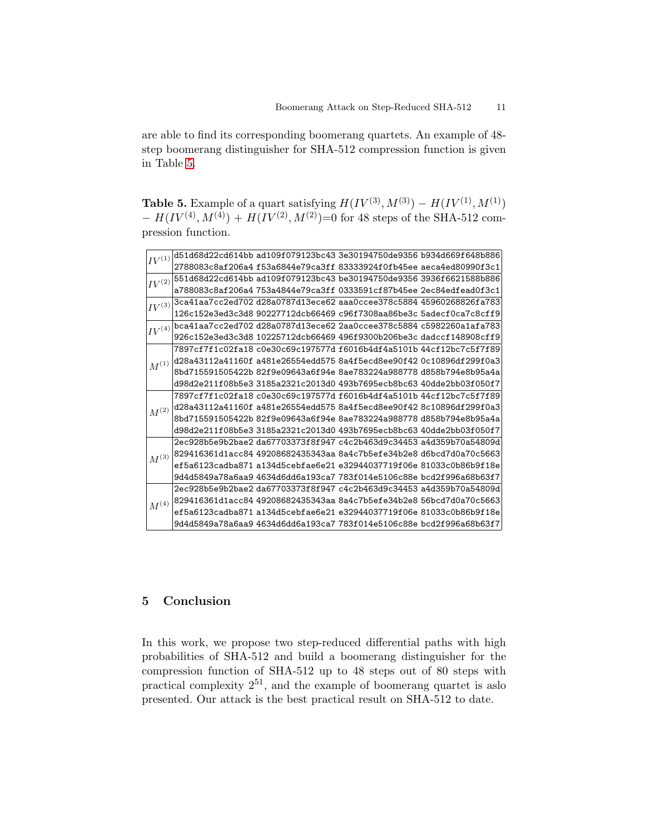are able to find its corresponding boomerang quartets. An example of 48 step boomerang distinguisher for SHA-512 compression function is given in Table [5.](#page-10-0)

<span id="page-10-0"></span>**Table 5.** Example of a quart satisfying  $H(IV^{(3)}, M^{(3)}) - H(IV^{(1)}, M^{(1)})$  $- H(IV^{(4)}, M^{(4)}) + H(IV^{(2)}, M^{(2)}) = 0$  for 48 steps of the SHA-512 compression function.

| $IV^{(1)}$             |  | d51d68d22cd614bb ad109f079123bc43 3e30194750de9356 b934d669f648b886                                                          |  |
|------------------------|--|------------------------------------------------------------------------------------------------------------------------------|--|
|                        |  | 2788083c8af206a4f53a6844e79ca3ff83333924f0fb45ee aeca4ed80990f3c1                                                            |  |
| $IV^{(2)}$             |  | 551d68d22cd614bb ad109f079123bc43 be30194750de9356 3936f6621588b886                                                          |  |
|                        |  | a788083c8af206a4                753a4844e79ca3ff 0333591cf87b45ee 2ec84edfead0f3c1                                           |  |
| $IV^{(3)}$             |  | 3ca41aa7cc2ed702 d28a0787d13ece62 aaa0ccee378c5884 45960268826fa783                                                          |  |
|                        |  | 126c152e3ed3c3d8                90227712dcb66469                c96f7308aa86be3c 5adecf0ca7c8cff9                            |  |
| $IV^{(4)}$             |  | bca41aa7cc2ed702                                  d28a0787d13ece62 2aa0ccee378c5884                         c5982260a1afa783 |  |
|                        |  | 926c152e3ed3c3d8 10225712dcb66469 496f9300b206be3c dadccf148908cff9                                                          |  |
|                        |  |                                                                                                                              |  |
| $\boldsymbol{M}^{(1)}$ |  | d28a43112a41160f a481e26554edd575 8a4f5ecd8ee90f42 0c10896df299f0a3                                                          |  |
|                        |  |                                                                                                                              |  |
|                        |  | d98d2e211f08b5e3                3185a2321c2013d0                493b7695ecb8bc63    40dde2bb03f050f7                         |  |
|                        |  |                                                                                                                              |  |
| $\mathcal{M}^{(2)}$    |  | d28a43112a41160f a481e26554edd575 8a4f5ecd8ee90f42 8c10896df299f0a3                                                          |  |
|                        |  |                                                                                                                              |  |
|                        |  | d98d2e211f08b5e3                3185a2321c2013d0                493b7695ecb8bc63                40dde2bb03f050f7             |  |
|                        |  | 2ec928b5e9b2bae2 da67703373f8f947 c4c2b463d9c34453 a4d359b70a54809d                                                          |  |
| $M^{(3)}$              |  | 829416361d1acc84 49208682435343aa 8a4c7b5efe34b2e8 d6bcd7d0a70c5663                                                          |  |
|                        |  | ef5a6123cadba871 a134d5cebfae6e21 e32944037719f06e 81033c0b86b9f18e                                                          |  |
|                        |  | 9d4d5849a78a6aa9 4634d6dd6a193ca7 783f014e5106c88e bcd2f996a68b63f7                                                          |  |
| $\mathcal{M}^{(4)}$    |  |                                                                                                                              |  |
|                        |  | 829416361d1acc84 49208682435343aa 8a4c7b5efe34b2e8 56bcd7d0a70c5663                                                          |  |
|                        |  | ef5a6123cadba871 a134d5cebfae6e21 e32944037719f06e 81033c0b86b9f18e                                                          |  |
|                        |  | 9d4d5849a78a6aa9 4634d6dd6a193ca7 783f014e5106c88e bcd2f996a68b63f7                                                          |  |
|                        |  |                                                                                                                              |  |

# 5 Conclusion

In this work, we propose two step-reduced differential paths with high probabilities of SHA-512 and build a boomerang distinguisher for the compression function of SHA-512 up to 48 steps out of 80 steps with practical complexity  $2^{51}$ , and the example of boomerang quartet is aslo presented. Our attack is the best practical result on SHA-512 to date.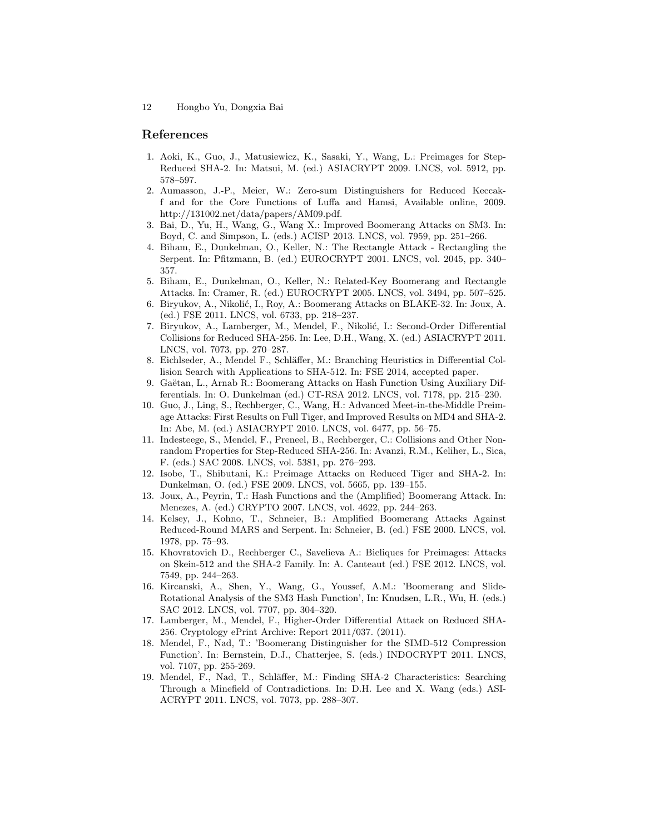#### References

- <span id="page-11-1"></span>1. Aoki, K., Guo, J., Matusiewicz, K., Sasaki, Y., Wang, L.: Preimages for Step-Reduced SHA-2. In: Matsui, M. (ed.) ASIACRYPT 2009. LNCS, vol. 5912, pp. 578–597.
- <span id="page-11-18"></span>2. Aumasson, J.-P., Meier, W.: Zero-sum Distinguishers for Reduced Keccakf and for the Core Functions of Luffa and Hamsi, Available online, 2009. http://131002.net/data/papers/AM09.pdf.
- <span id="page-11-17"></span>3. Bai, D., Yu, H., Wang, G., Wang X.: Improved Boomerang Attacks on SM3. In: Boyd, C. and Simpson, L. (eds.) ACISP 2013. LNCS, vol. 7959, pp. 251–266.
- <span id="page-11-10"></span>4. Biham, E., Dunkelman, O., Keller, N.: The Rectangle Attack - Rectangling the Serpent. In: Pfitzmann, B. (ed.) EUROCRYPT 2001. LNCS, vol. 2045, pp. 340– 357.
- <span id="page-11-11"></span>5. Biham, E., Dunkelman, O., Keller, N.: Related-Key Boomerang and Rectangle Attacks. In: Cramer, R. (ed.) EUROCRYPT 2005. LNCS, vol. 3494, pp. 507–525.
- <span id="page-11-13"></span>6. Biryukov, A., Nikolić, I., Roy, A.: Boomerang Attacks on BLAKE-32. In: Joux, A. (ed.) FSE 2011. LNCS, vol. 6733, pp. 218–237.
- <span id="page-11-8"></span>7. Biryukov, A., Lamberger, M., Mendel, F., Nikolić, I.: Second-Order Differential Collisions for Reduced SHA-256. In: Lee, D.H., Wang, X. (ed.) ASIACRYPT 2011. LNCS, vol. 7073, pp. 270–287.
- <span id="page-11-6"></span>8. Eichlseder, A., Mendel F., Schläffer, M.: Branching Heuristics in Differential Collision Search with Applications to SHA-512. In: FSE 2014, accepted paper.
- <span id="page-11-15"></span>9. Gaëtan, L., Arnab R.: Boomerang Attacks on Hash Function Using Auxiliary Differentials. In: O. Dunkelman (ed.) CT-RSA 2012. LNCS, vol. 7178, pp. 215–230.
- <span id="page-11-2"></span>10. Guo, J., Ling, S., Rechberger, C., Wang, H.: Advanced Meet-in-the-Middle Preimage Attacks: First Results on Full Tiger, and Improved Results on MD4 and SHA-2. In: Abe, M. (ed.) ASIACRYPT 2010. LNCS, vol. 6477, pp. 56–75.
- <span id="page-11-4"></span>11. Indesteege, S., Mendel, F., Preneel, B., Rechberger, C.: Collisions and Other Nonrandom Properties for Step-Reduced SHA-256. In: Avanzi, R.M., Keliher, L., Sica, F. (eds.) SAC 2008. LNCS, vol. 5381, pp. 276–293.
- <span id="page-11-0"></span>12. Isobe, T., Shibutani, K.: Preimage Attacks on Reduced Tiger and SHA-2. In: Dunkelman, O. (ed.) FSE 2009. LNCS, vol. 5665, pp. 139–155.
- <span id="page-11-12"></span>13. Joux, A., Peyrin, T.: Hash Functions and the (Amplified) Boomerang Attack. In: Menezes, A. (ed.) CRYPTO 2007. LNCS, vol. 4622, pp. 244–263.
- <span id="page-11-9"></span>14. Kelsey, J., Kohno, T., Schneier, B.: Amplified Boomerang Attacks Against Reduced-Round MARS and Serpent. In: Schneier, B. (ed.) FSE 2000. LNCS, vol. 1978, pp. 75–93.
- <span id="page-11-3"></span>15. Khovratovich D., Rechberger C., Savelieva A.: Bicliques for Preimages: Attacks on Skein-512 and the SHA-2 Family. In: A. Canteaut (ed.) FSE 2012. LNCS, vol. 7549, pp. 244–263.
- <span id="page-11-16"></span>16. Kircanski, A., Shen, Y., Wang, G., Youssef, A.M.: 'Boomerang and Slide-Rotational Analysis of the SM3 Hash Function', In: Knudsen, L.R., Wu, H. (eds.) SAC 2012. LNCS, vol. 7707, pp. 304–320.
- <span id="page-11-7"></span>17. Lamberger, M., Mendel, F., Higher-Order Differential Attack on Reduced SHA-256. Cryptology ePrint Archive: Report 2011/037. (2011).
- <span id="page-11-14"></span>18. Mendel, F., Nad, T.: 'Boomerang Distinguisher for the SIMD-512 Compression Function'. In: Bernstein, D.J., Chatterjee, S. (eds.) INDOCRYPT 2011. LNCS, vol. 7107, pp. 255-269.
- <span id="page-11-5"></span>19. Mendel, F., Nad, T., Schl¨affer, M.: Finding SHA-2 Characteristics: Searching Through a Minefield of Contradictions. In: D.H. Lee and X. Wang (eds.) ASI-ACRYPT 2011. LNCS, vol. 7073, pp. 288–307.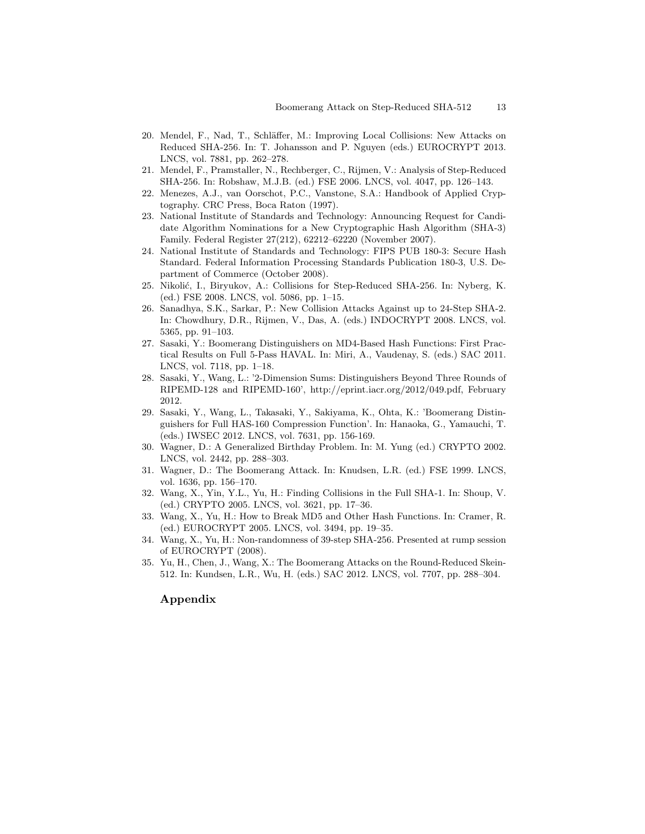- <span id="page-12-6"></span>20. Mendel, F., Nad, T., Schläffer, M.: Improving Local Collisions: New Attacks on Reduced SHA-256. In: T. Johansson and P. Nguyen (eds.) EUROCRYPT 2013. LNCS, vol. 7881, pp. 262–278.
- <span id="page-12-3"></span>21. Mendel, F., Pramstaller, N., Rechberger, C., Rijmen, V.: Analysis of Step-Reduced SHA-256. In: Robshaw, M.J.B. (ed.) FSE 2006. LNCS, vol. 4047, pp. 126–143.
- <span id="page-12-8"></span>22. Menezes, A.J., van Oorschot, P.C., Vanstone, S.A.: Handbook of Applied Cryptography. CRC Press, Boca Raton (1997).
- <span id="page-12-2"></span>23. National Institute of Standards and Technology: Announcing Request for Candidate Algorithm Nominations for a New Cryptographic Hash Algorithm (SHA-3) Family. Federal Register 27(212), 62212–62220 (November 2007).
- <span id="page-12-9"></span>24. National Institute of Standards and Technology: FIPS PUB 180-3: Secure Hash Standard. Federal Information Processing Standards Publication 180-3, U.S. Department of Commerce (October 2008).
- <span id="page-12-4"></span>25. Nikolić, I., Biryukov, A.: Collisions for Step-Reduced SHA-256. In: Nyberg, K. (ed.) FSE 2008. LNCS, vol. 5086, pp. 1–15.
- <span id="page-12-5"></span>26. Sanadhya, S.K., Sarkar, P.: New Collision Attacks Against up to 24-Step SHA-2. In: Chowdhury, D.R., Rijmen, V., Das, A. (eds.) INDOCRYPT 2008. LNCS, vol. 5365, pp. 91–103.
- <span id="page-12-11"></span>27. Sasaki, Y.: Boomerang Distinguishers on MD4-Based Hash Functions: First Practical Results on Full 5-Pass HAVAL. In: Miri, A., Vaudenay, S. (eds.) SAC 2011. LNCS, vol. 7118, pp. 1–18.
- <span id="page-12-12"></span>28. Sasaki, Y., Wang, L.: '2-Dimension Sums: Distinguishers Beyond Three Rounds of RIPEMD-128 and RIPEMD-160', http://eprint.iacr.org/2012/049.pdf, February 2012.
- <span id="page-12-13"></span>29. Sasaki, Y., Wang, L., Takasaki, Y., Sakiyama, K., Ohta, K.: 'Boomerang Distinguishers for Full HAS-160 Compression Function'. In: Hanaoka, G., Yamauchi, T. (eds.) IWSEC 2012. LNCS, vol. 7631, pp. 156-169.
- <span id="page-12-15"></span>30. Wagner, D.: A Generalized Birthday Problem. In: M. Yung (ed.) CRYPTO 2002. LNCS, vol. 2442, pp. 288–303.
- <span id="page-12-10"></span>31. Wagner, D.: The Boomerang Attack. In: Knudsen, L.R. (ed.) FSE 1999. LNCS, vol. 1636, pp. 156–170.
- <span id="page-12-0"></span>32. Wang, X., Yin, Y.L., Yu, H.: Finding Collisions in the Full SHA-1. In: Shoup, V. (ed.) CRYPTO 2005. LNCS, vol. 3621, pp. 17–36.
- <span id="page-12-1"></span>33. Wang, X., Yu, H.: How to Break MD5 and Other Hash Functions. In: Cramer, R. (ed.) EUROCRYPT 2005. LNCS, vol. 3494, pp. 19–35.
- <span id="page-12-7"></span>34. Wang, X., Yu, H.: Non-randomness of 39-step SHA-256. Presented at rump session of EUROCRYPT (2008).
- <span id="page-12-14"></span>35. Yu, H., Chen, J., Wang, X.: The Boomerang Attacks on the Round-Reduced Skein-512. In: Kundsen, L.R., Wu, H. (eds.) SAC 2012. LNCS, vol. 7707, pp. 288–304.

#### Appendix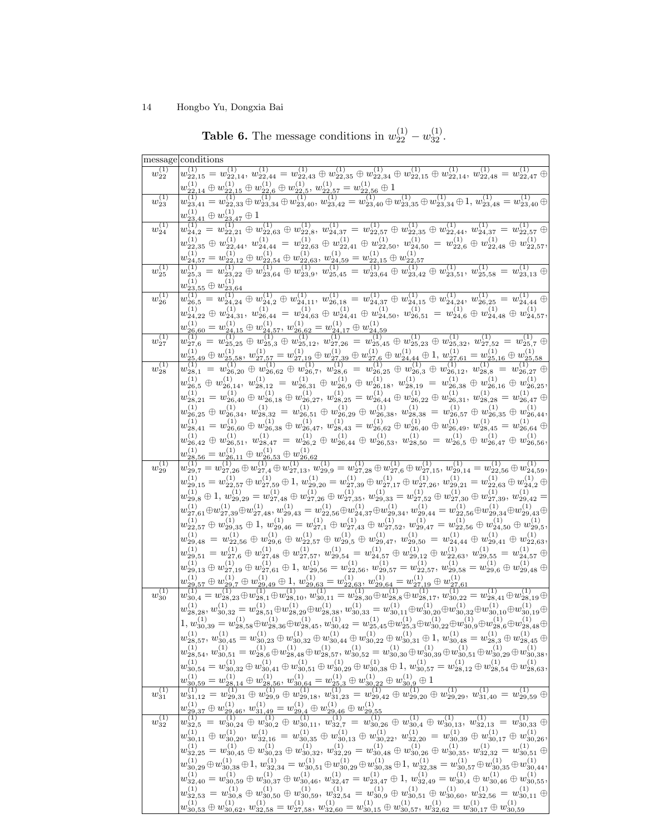|                           | message conditions                                                                                                                                                                                                                                                                                                                                                                |
|---------------------------|-----------------------------------------------------------------------------------------------------------------------------------------------------------------------------------------------------------------------------------------------------------------------------------------------------------------------------------------------------------------------------------|
| $w_{22}^{(1)}$            | (1)<br>$w_{22,15}^{(1)} = w_{22,14}^{(1)}, w_{22,44}^{(1)} = w_{22,43}^{(1)} \oplus w_{22,35}^{(1)} \oplus w_{22,34}^{(1)} \oplus w_{22,15}^{(1)} \oplus w_{22,14}^{(1)}, w_{22,48}^{(1)} = w_{22,47}^{(1)} \oplus w_{22,48}^{(1)} \oplus w_{22,48}^{(1)} \oplus w_{22,49}^{(1)} \oplus w_{22,48}^{(1)} \oplus w_{22,49}^{(1)} \oplus w_{22,49$                                   |
|                           | $w_{22,14}^{(1)} \oplus w_{22,15}^{(1)} \oplus w_{22,6}^{(1)} \oplus w_{22,5}^{(1)}, \hspace{1.5mm} w_{22,57}^{(1)} = w_{22,56}^{(1)} \oplus 1$                                                                                                                                                                                                                                   |
| $w_{23}^{(1)}$            | $w^{(1)}_{23,41}=w^{(1)}_{22,33}\oplus w^{(1)}_{23,34}\oplus w^{(1)}_{23,40},\ w^{(1)}_{23,42}=w^{(1)}_{23,40}\oplus w^{(1)}_{23,35}\oplus w^{(1)}_{23,34}\oplus 1,\ w^{(1)}_{23,48}=w^{(1)}_{23,40}\oplus w^{(1)}_{23,48}$                                                                                                                                                       |
|                           | $w_{23,41}^{(1)}\oplus w_{23,47}^{(1)}\oplus 1$                                                                                                                                                                                                                                                                                                                                   |
| $w_{24}^{(1)}$            | $= w_{22,21}^{(1)} \oplus w_{22,63}^{(1)} \oplus w_{22,8}^{(1)}, \ w_{24,37}^{(1)} = w_{22,57}^{(1)} \oplus w_{22,35}^{(1)} \oplus w_{22,44}^{(1)}, \ w_{24,37}^{(1)} = w_{22,57}^{(1)} \oplus w_{22,57}^{(1)} \oplus w_{22,57}^{(1)} \oplus w_{22,57}^{(1)} \oplus w_{22,57}^{(1)} \oplus w_{22,57}^{(1)} \oplus w_{22,57}^{(1)} \oplus w_{2$<br>$w_{24,2}^{\left( 1\right) }$ : |
|                           | $w_{22,35}^{(1)}\oplus w_{22,44}^{(1)},\ w_{24,44}^{(1)}\,=\,w_{22,63}^{(1)}\oplus w_{22,41}^{(1)}\oplus w_{22,50}^{(1)},\ w_{24,50}^{(1)}\,=\,w_{22,6}^{(1)}\oplus w_{22,48}^{(1)}\oplus w_{22,57}^{(1)},$                                                                                                                                                                       |
|                           | $w_{24,57}^{(1)} = w_{22,12}^{(1)} \oplus w_{22,54}^{(1)} \oplus w_{22,63}^{(1)}, \hspace{1mm} w_{24,59}^{(1)} = w_{22,15}^{(1)} \oplus w_{22,57}^{(1)}$                                                                                                                                                                                                                          |
| $w_{25}^{(1)}$            | $w_{25,3}^{(1)} = w_{23,22}^{(1)} \oplus w_{23,64}^{(1)} \oplus w_{23,9}^{(1)}, w_{25,45}^{(1)} = w_{23,64}^{(1)} \oplus w_{23,42}^{(1)} \oplus w_{23,51}^{(1)}, w_{25,58}^{(1)} = w_{23,13}^{(1)} \oplus w_{23,64}^{(1)} \oplus w_{23,65}^{(1)}$                                                                                                                                 |
|                           | $w_{23,55}^{(1)}\oplus w_{23,64}^{(1)}$                                                                                                                                                                                                                                                                                                                                           |
| $w_{26}^{(1)}$            | $\overline{w_{26,5}^{(1)}} = w_{24,24}^{(1)} \oplus w_{24,2}^{(1)} \oplus w_{24,11}^{(1)}, w_{26,18}^{(1)} = w_{24,37}^{(1)} \oplus w_{24,15}^{(1)} \oplus w_{24,24}^{(1)}, w_{26,25}^{(1)} = w_{24,44}^{(1)} \oplus w_{24,12}^{(1)} \oplus w_{24,24}^{(1)} \oplus w_{24,34}^{(1)} \oplus w_{24,44}^{(1)} \oplus w_{24,45}^{(1)} \oplus w_{24,$                                   |
|                           |                                                                                                                                                                                                                                                                                                                                                                                   |
|                           | $w_{24,22}^{(1)}\oplus w_{24,31}^{(1)},\ w_{26,44}^{(1)}\,=\,w_{24,63}^{(1)}\oplus w_{24,41}^{(1)}\oplus w_{24,50}^{(1)},\ w_{26,51}^{(1)}\,=\,w_{24,6}^{(1)}\oplus w_{24,48}^{(1)}\oplus w_{24,57}^{(1)},$                                                                                                                                                                       |
|                           | $w_{26,60}^{(1)} = w_{24,15}^{(1)} \oplus w_{24,57}^{(1)}, \hspace{2pt} w_{26,62}^{(1)} = w_{24,17}^{(1)} \oplus w_{24,59}^{(1)}$                                                                                                                                                                                                                                                 |
| $w_{27}^{(1)}$            | $w^{(1)}_{27,6}=w^{(1)}_{25,25} \oplus w^{(1)}_{25,3} \oplus w^{(1)}_{25,12}, \ w^{(1)}_{27,26}=w^{(1)}_{25,45} \oplus w^{(1)}_{25,23} \oplus w^{(1)}_{25,32}, \ w^{(1)}_{27,52}=w^{(1)}_{25,7} \oplus w^{(1)}_{25,6}$                                                                                                                                                            |
|                           | $w_{25,49}^{(1)} \oplus w_{25,58}^{(1)}, w_{27,57}^{(1)} = w_{27,19}^{(1)} \oplus w_{27,39}^{(1)} \oplus w_{27,6}^{(1)} \oplus w_{24,44}^{(1)} \oplus 1, w_{27,61}^{(1)} = w_{25,16}^{(1)} \oplus w_{25,58}^{(1)}$                                                                                                                                                                |
| $w_{28}^{(1)}$            | $w_{28,1}^{(1)} = w_{26,20}^{(1)} \oplus w_{26,62}^{(1)} \oplus w_{26,7}^{(1)}, \ w_{28,6}^{(1)} = w_{26,25}^{(1)} \oplus w_{26,3}^{(1)} \oplus w_{26,12}^{(1)}, \ w_{28,8}^{(1)} = w_{26,27}^{(1)} \oplus w_{26,27}^{(1)} \oplus w_{26,12}^{(1)} \oplus w_{26,27}^{(1)} \oplus w_{26,28}^{(1)}$                                                                                  |
|                           | $w_{26,5}^{(1)}\,\oplus\, w_{26,14}^{(1)},\ w_{28,12}^{(1)}\,=\, w_{26,31}^{(1)}\,\oplus\, w_{26,9}^{(1)}\,\oplus\, w_{26,18}^{(1)},\ w_{28,19}^{(1)}\,=\, w_{26,38}^{(1)}\,\oplus\, w_{26,16}^{(1)}\,\oplus\, w_{26,25}^{(1)},$                                                                                                                                                  |
|                           | $w_{28,21}^{(1)} = w_{26,40}^{(1)} \oplus w_{26,18}^{(1)} \oplus w_{26,27}^{(1)}, \ w_{28,25}^{(1)} = w_{26,44}^{(1)} \oplus w_{26,22}^{(1)} \oplus w_{26,31}^{(1)}, \ w_{28,28}^{(1)} = w_{26,47}^{(1)} \oplus$                                                                                                                                                                  |
|                           | $w_{26,25}^{(1)}\oplus w_{26,34}^{(1)},\ w_{28,32}^{(1)}=w_{26,51}^{(1)}\oplus w_{26,29}^{(1)}\oplus w_{26,38}^{(1)},\ w_{28,38}^{(1)}=w_{26,57}^{(1)}\oplus w_{26,35}^{(1)}\oplus w_{26,44}^{(1)},$                                                                                                                                                                              |
|                           | $w_{28,41}^{(1)} = w_{26,60}^{(1)} \oplus w_{26,38}^{(1)} \oplus w_{26,47}^{(1)}, \ w_{28,43}^{(1)} = w_{26,62}^{(1)} \oplus w_{26,40}^{(1)} \oplus w_{26,49}^{(1)}, \ w_{28,45}^{(1)} = w_{26,64}^{(1)} \oplus w_{26,64}^{(1)} \oplus w_{26,64}^{(1)} \oplus w_{26,64}^{(1)} \oplus w_{26,64}^{(1)} \oplus w_{26,64}^{(1)} \oplus w_{26,$                                        |
|                           | $w_{26,42}^{(1)} \oplus w_{26,51}^{(1)},~w_{28,47}^{(1)}~=~w_{26,2}^{(1)} \oplus w_{26,44}^{(1)} \oplus w_{26,53}^{(1)},~w_{28,50}^{(1)}~=~w_{26,5}^{(1)} \oplus w_{26,47}^{(1)} \oplus w_{26,56}^{(1)},$                                                                                                                                                                         |
|                           | $w_{28,56}^{(1)} = w_{26,11}^{(1)} \oplus w_{26,53}^{(1)} \oplus w_{26,62}^{(1)}$                                                                                                                                                                                                                                                                                                 |
| $w_{29}^{(1)}$            | $w^{(1)}_{29,7}=w^{(1)}_{27,26}\oplus w^{(1)}_{27,4}\oplus w^{(1)}_{27,13}, w^{(1)}_{29,9}=w^{(1)}_{27,28}\oplus w^{(1)}_{27,6}\oplus w^{(1)}_{27,15}, w^{(1)}_{29,14}=w^{(1)}_{22,56}\oplus w^{(1)}_{23,59},$                                                                                                                                                                    |
|                           | $w_{29,15}^{(1)} = w_{22,57}^{(1)} \oplus w_{27,59}^{(1)} \oplus 1, \ w_{29,20}^{(1)} = w_{27,39}^{(1)} \oplus w_{27,17}^{(1)} \oplus w_{27,26}^{(1)}, \ w_{29,21}^{(1)} = w_{22,63}^{(1)} \oplus w_{24,2}^{(1)} \oplus$                                                                                                                                                          |
|                           | $w_{29,8}^{(1)} \oplus 1, \ w_{29,29}^{(1)} = w_{27,48}^{(1)} \oplus w_{27,26}^{(1)} \oplus w_{27,35}^{(1)}, \ w_{29,33}^{(1)} = w_{27,52}^{(1)} \oplus w_{27,30}^{(1)} \oplus w_{27,39}^{(1)}, \ w_{29,42}^{(1)} =$                                                                                                                                                              |
|                           | $w^{(1)}_{27,61} \oplus w^{(1)}_{27,39} \oplus w^{(1)}_{27,48}, w^{(1)}_{29,43} = w^{(1)}_{22,56} \oplus w^{(1)}_{24,37} \oplus w^{(1)}_{29,34}, w^{(1)}_{29,44} = w^{(1)}_{22,56} \oplus w^{(1)}_{29,34} \oplus w^{(1)}_{29,43} \oplus w^{(1)}_{20,45} \oplus w^{(1)}_{21,45} \oplus w^{(1)}_{22,45} \oplus w^{(1)}_{23,45} \oplus w^{(1)}$                                      |
|                           | $w_{22,57}^{(1)} \oplus w_{29,35}^{(1)} \oplus 1, w_{29,46}^{(1)} = w_{27,1}^{(1)} \oplus w_{27,43}^{(1)} \oplus w_{27,52}^{(1)}, w_{29,47}^{(1)} = w_{22,56}^{(1)} \oplus w_{24,50}^{(1)} \oplus w_{29,5}^{(1)},$                                                                                                                                                                |
|                           | $w_{29,48}^{(1)}\,=\,w_{22,56}^{(1)}\,\oplus\,w_{29,6}^{(1)}\,\oplus\,w_{22,57}^{(1)}\,\oplus\,w_{29,5}^{(1)}\,\oplus\,w_{29,47}^{(1)},\;w_{29,50}^{(1)}\,=\,w_{24,44}^{(1)}\,\oplus\,w_{29,41}^{(1)}\,\oplus\,w_{22,63}^{(1)},$                                                                                                                                                  |
|                           |                                                                                                                                                                                                                                                                                                                                                                                   |
|                           | $w_{29,51}^{(1)} = w_{27,6}^{(1)} \oplus w_{27,48}^{(1)} \oplus w_{27,57}^{(1)}, \ w_{29,54}^{(1)} = w_{24,57}^{(1)} \oplus w_{29,12}^{(1)} \oplus w_{22,63}^{(1)}, \ w_{29,55}^{(1)} = w_{24,57}^{(1)} \oplus w_{22,63}^{(1)} \oplus w_{24,67}^{(1)} \oplus w_{24,67}^{(1)} \oplus w_{24,67}^{(1)} \oplus w_{24,67}^{(1)} \oplus w_{24,6$                                        |
|                           | $w_{29,13}^{(1)} \oplus w_{27,19}^{(1)} \oplus w_{27,61}^{(1)} \oplus 1, w_{29,56}^{(1)} = w_{22,56}^{(1)}, w_{29,57}^{(1)} = w_{22,57}^{(1)}, w_{29,58}^{(1)} = w_{29,6}^{(1)} \oplus w_{29,48}^{(1)} \oplus$                                                                                                                                                                    |
|                           | $w_{29,57}^{(1)} \oplus w_{29,7}^{(1)} \oplus w_{29,49}^{(1)} \oplus 1, w_{29,63}^{(1)} = w_{22,63}^{(1)}, w_{29,64}^{(1)} = w_{27,19}^{(1)} \oplus w_{27,61}^{(1)}$                                                                                                                                                                                                              |
| $w_{30}^{(1)}$            | $\overline{w_{30,4}^{(1)}} = w_{28,23}^{(1)} \oplus w_{28,1}^{(1)} \oplus w_{28,10}^{(1)}, \overline{w_{30,11}^{(1)}} = \overline{w_{28,30}^{(1)} \oplus w_{28,8}^{(1)} \oplus w_{28,17}^{(1)}}, w_{30,22}^{(1)} = w_{28,41}^{(1)} \oplus w_{28,19}^{(1)} \oplus w_{28,10}^{(1)} \oplus w_{28,10}^{(1)} \oplus w_{28,11}^{(1)} \oplus w_{28,10}^{(1)}$                            |
|                           | $w_{28,28}^{(1)}, w_{30,32}^{(1)} = w_{28,51}^{(1)} \oplus w_{28,29}^{(1)} \oplus w_{28,38}^{(1)}, \\ w_{30,33}^{(1)} = w_{30,11}^{(1)} \oplus w_{30,20}^{(1)} \oplus w_{30,32}^{(1)} \oplus w_{30,10}^{(1)} \oplus w_{30,19}^{(1)} \oplus$                                                                                                                                       |
|                           | $1, w_{30,39}^{(1)} = w_{28,58}^{(1)} \oplus w_{28,36}^{(1)} \oplus w_{28,45}^{(1)}, w_{30,42}^{(1)} = w_{25,45}^{(1)} \oplus w_{25,3}^{(1)} \oplus w_{30,22}^{(1)} \oplus w_{30,9}^{(1)} \oplus w_{28,6}^{(1)} \oplus w_{28,48}^{(1)} \oplus$                                                                                                                                    |
|                           | $w_{28,57}^{(1)}, w_{30,45}^{(1)} = w_{30,23}^{(1)} \oplus w_{30,32}^{(1)} \oplus w_{30,44}^{(1)} \oplus w_{30,22}^{(1)} \oplus w_{30,31}^{(1)} \oplus 1, w_{30,48}^{(1)} = w_{28,3}^{(1)} \oplus w_{28,45}^{(1)} \oplus$                                                                                                                                                         |
|                           | $w_{28,54}^{(1)}, w_{30,51}^{(1)} = w_{28,6}^{(1)} \oplus w_{28,48}^{(1)} \oplus w_{28,57}^{(1)}, \\ w_{30,52}^{(1)} = w_{30,30}^{(1)} \oplus w_{30,39}^{(1)} \oplus w_{30,51}^{(1)} \oplus w_{30,29}^{(1)} \oplus w_{30,38}^{(1)},$                                                                                                                                              |
|                           | $w_{30,54}^{(1)} = w_{30,32}^{(1)} \oplus w_{30,41}^{(1)} \oplus w_{30,51}^{(1)} \oplus w_{30,29}^{(1)} \oplus w_{30,38}^{(1)} \oplus 1, \\ w_{30,57}^{(1)} = w_{28,12}^{(1)} \oplus w_{28,54}^{(1)} \oplus w_{28,63}^{(1)},$                                                                                                                                                     |
|                           | $w^{(1)}_{30,59}=w^{(1)}_{28,14}\oplus w^{(1)}_{28,56},\ w^{(1)}_{30,64}=w^{(1)}_{25,3}\oplus w^{(1)}_{30,22}\oplus w^{(1)}_{30,9}\oplus 1$                                                                                                                                                                                                                                       |
| $w_{31}^{(1)}$            | $w^{(1)}_{31,12}=w^{(1)}_{29,31}\oplus w^{(1)}_{29,9}\oplus w^{(1)}_{29,18},\ w^{(1)}_{31,23}=w^{(1)}_{29,42}\oplus w^{(1)}_{29,20}\oplus w^{(1)}_{29,29},\ w^{(1)}_{31,40}=w^{(1)}_{29,59}\oplus w^{(1)}_{29,50}$                                                                                                                                                                |
|                           | $w_{29,37}^{(1)}\oplus w_{29,46}^{(1)},\, w_{31,49}^{(1)}=w_{29,4}^{(1)}\oplus w_{29,46}^{(1)}\oplus w_{29,55}^{(1)}$                                                                                                                                                                                                                                                             |
| $\overline{w_{32}^{(1)}}$ | $w^{(1)}_{32,5} = w^{(1)}_{30,24} \oplus w^{(1)}_{30,2} \oplus w^{(1)}_{30,11}, \ w^{(1)}_{32,7} = w^{(1)}_{30,26} \oplus w^{(1)}_{30,4} \oplus w^{(1)}_{30,13}, \ w^{(1)}_{32,13} = w^{(1)}_{30,33} \oplus w^{(1)}_{30,13} \oplus w^{(1)}_{30,13} \oplus w^{(1)}_{30,13} \oplus w^{(1)}_{30,13} \oplus w^{(1)}_{30,13} \oplus w^{(1)}_{30,$                                      |
|                           | $w_{30,11}^{(1)}\oplus w_{30,20}^{(1)},\ w_{32,16}^{(1)}=w_{30,35}^{(1)}\oplus w_{30,13}^{(1)}\oplus w_{30,22}^{(1)},\ w_{32,20}^{(1)}=w_{30,39}^{(1)}\oplus w_{30,17}^{(1)}\oplus w_{30,26}^{(1)},$                                                                                                                                                                              |
|                           | $w_{32,25}^{(1)} = w_{30,45}^{(1)} \oplus w_{30,23}^{(1)} \oplus w_{30,32}^{(1)}, \ w_{32,29}^{(1)} = w_{30,48}^{(1)} \oplus w_{30,26}^{(1)} \oplus w_{30,35}^{(1)}, \ w_{32,32}^{(1)} = w_{30,51}^{(1)} \oplus$                                                                                                                                                                  |
|                           | $w^{(1)}_{30,29} \oplus w^{(1)}_{30,38} \oplus 1,\ w^{(1)}_{32,34} = w^{(1)}_{30,51} \oplus w^{(1)}_{30,29} \oplus w^{(1)}_{30,38} \oplus 1,\ w^{(1)}_{32,38} = w^{(1)}_{30,57} \oplus w^{(1)}_{30,35} \oplus w^{(1)}_{30,44},$                                                                                                                                                   |
|                           | $w_{32,40}^{(1)} = w_{30,59}^{(1)} \oplus w_{30,37}^{(1)} \oplus w_{30,46}^{(1)}, \ w_{32,47}^{(1)} = w_{23,47}^{(1)} \oplus 1, \ w_{32,49}^{(1)} = w_{30,4}^{(1)} \oplus w_{30,46}^{(1)} \oplus w_{30,55}^{(1)},$                                                                                                                                                                |
|                           | $w^{(1)}_{32,53}=w^{(1)}_{30,8}\oplus w^{(1)}_{30,50}\oplus w^{(1)}_{30,59},~w^{(1)}_{32,54}=w^{(1)}_{30,9}\oplus w^{(1)}_{30,51}\oplus w^{(1)}_{30,60},~w^{(1)}_{32,56}=w^{(1)}_{30,11}\oplus$                                                                                                                                                                                   |
|                           |                                                                                                                                                                                                                                                                                                                                                                                   |

 $w_{30,53}^{(1)} \oplus w_{30,62}^{(1)}, \ w_{32,58}^{(1)} = w_{27,58}^{(1)}, \ w_{32,60}^{(1)} = w_{30,15}^{(1)} \oplus w_{30,57}^{(1)}, \ w_{32,62}^{(1)} = w_{30,17}^{(1)} \oplus w_{30,59}^{(1)}$ 

<span id="page-13-0"></span>**Table 6.** The message conditions in  $w_{22}^{(1)} - w_{32}^{(1)}$ .